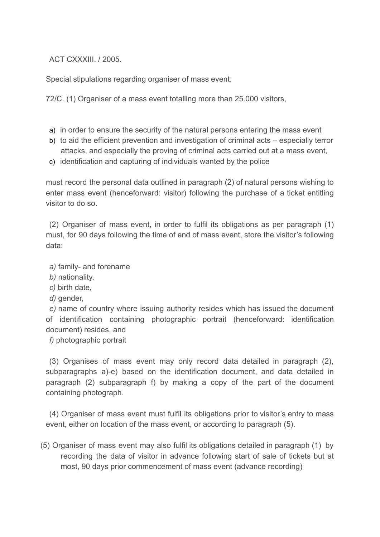ACT CXXXIII. / 2005.

Special stipulations regarding organiser of mass event.

72/C. (1) Organiser of a mass event totalling more than 25.000 visitors,

- a) in order to ensure the security of the natural persons entering the mass event
- b) to aid the efficient prevention and investigation of criminal acts especially terror attacks, and especially the proving of criminal acts carried out at a mass event,
- c) identification and capturing of individuals wanted by the police

must record the personal data outlined in paragraph (2) of natural persons wishing to enter mass event (henceforward: visitor) following the purchase of a ticket entitling visitor to do so.

(2) Organiser of mass event, in order to fulfil its obligations as per paragraph (1) must, for 90 days following the time of end of mass event, store the visitor's following data:

*a)* family- and forename

- *b)* nationality,
- *c)* birth date,
- d) gender,

*e)* name of country where issuing authority resides which has issued the document of identification containing photographic portrait (henceforward: identification document) resides, and

*f)* photographic portrait

(3) Organises of mass event may only record data detailed in paragraph (2), subparagraphs a)-e) based on the identification document, and data detailed in paragraph (2) subparagraph f) by making a copy of the part of the document containing photograph.

(4) Organiser of mass event must fulfil its obligations prior to visitor's entry to mass event, either on location of the mass event, or according to paragraph (5).

(5) Organiser of mass event may also fulfil its obligations detailed in paragraph (1) by recording the data of visitor in advance following start of sale of tickets but at most, 90 days prior commencement of mass event (advance recording)